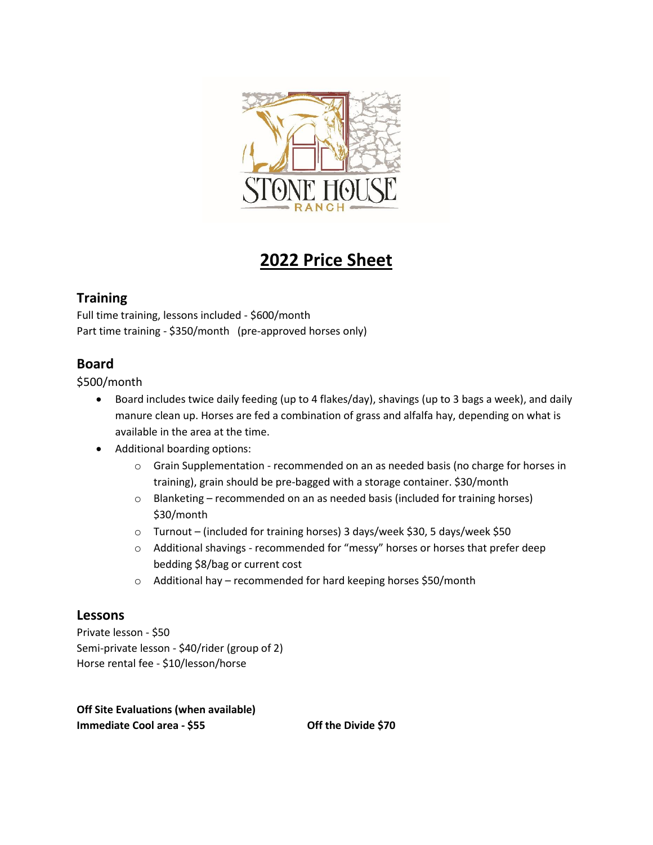

# **2022 Price Sheet**

# **Training**

Full time training, lessons included - \$600/month Part time training - \$350/month (pre-approved horses only)

# **Board**

\$500/month

- Board includes twice daily feeding (up to 4 flakes/day), shavings (up to 3 bags a week), and daily manure clean up. Horses are fed a combination of grass and alfalfa hay, depending on what is available in the area at the time.
- Additional boarding options:
	- $\circ$  Grain Supplementation recommended on an as needed basis (no charge for horses in training), grain should be pre-bagged with a storage container. \$30/month
	- o Blanketing recommended on an as needed basis (included for training horses) \$30/month
	- o Turnout (included for training horses) 3 days/week \$30, 5 days/week \$50
	- $\circ$  Additional shavings recommended for "messy" horses or horses that prefer deep bedding \$8/bag or current cost
	- o Additional hay recommended for hard keeping horses \$50/month

# **Lessons**

Private lesson - \$50 Semi-private lesson - \$40/rider (group of 2) Horse rental fee - \$10/lesson/horse

**Off Site Evaluations (when available) Immediate Cool area - \$55 Off the Divide \$70**